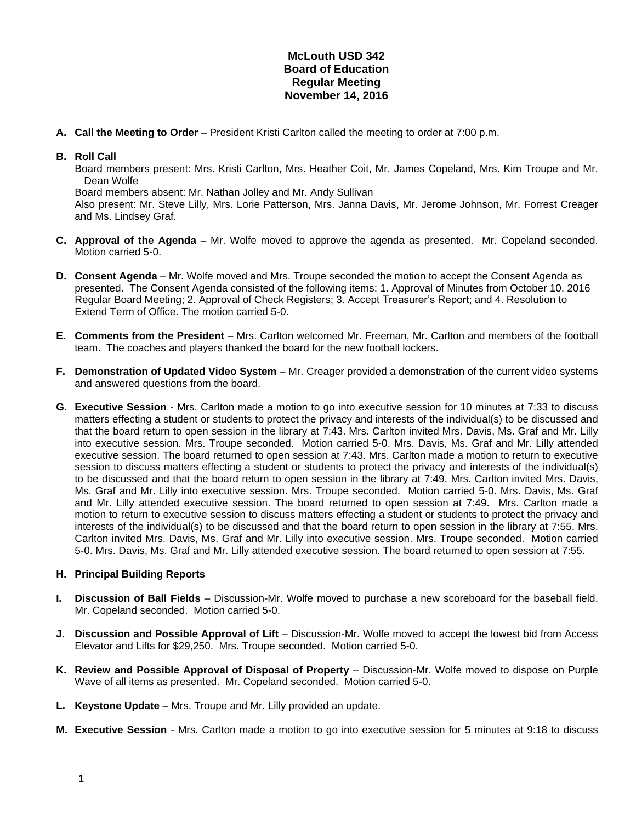## **McLouth USD 342 Board of Education Regular Meeting November 14, 2016**

**A. Call the Meeting to Order** – President Kristi Carlton called the meeting to order at 7:00 p.m.

## **B. Roll Call**

Board members present: Mrs. Kristi Carlton, Mrs. Heather Coit, Mr. James Copeland, Mrs. Kim Troupe and Mr. Dean Wolfe

Board members absent: Mr. Nathan Jolley and Mr. Andy Sullivan

Also present: Mr. Steve Lilly, Mrs. Lorie Patterson, Mrs. Janna Davis, Mr. Jerome Johnson, Mr. Forrest Creager and Ms. Lindsey Graf.

- **C. Approval of the Agenda** Mr. Wolfe moved to approve the agenda as presented. Mr. Copeland seconded. Motion carried 5-0.
- **D. Consent Agenda** Mr. Wolfe moved and Mrs. Troupe seconded the motion to accept the Consent Agenda as presented. The Consent Agenda consisted of the following items: 1. Approval of Minutes from October 10, 2016 Regular Board Meeting; 2. Approval of Check Registers; 3. Accept Treasurer's Report; and 4. Resolution to Extend Term of Office. The motion carried 5-0.
- **E. Comments from the President** Mrs. Carlton welcomed Mr. Freeman, Mr. Carlton and members of the football team. The coaches and players thanked the board for the new football lockers.
- **F. Demonstration of Updated Video System** Mr. Creager provided a demonstration of the current video systems and answered questions from the board.
- **G. Executive Session** Mrs. Carlton made a motion to go into executive session for 10 minutes at 7:33 to discuss matters effecting a student or students to protect the privacy and interests of the individual(s) to be discussed and that the board return to open session in the library at 7:43. Mrs. Carlton invited Mrs. Davis, Ms. Graf and Mr. Lilly into executive session. Mrs. Troupe seconded. Motion carried 5-0. Mrs. Davis, Ms. Graf and Mr. Lilly attended executive session. The board returned to open session at 7:43. Mrs. Carlton made a motion to return to executive session to discuss matters effecting a student or students to protect the privacy and interests of the individual(s) to be discussed and that the board return to open session in the library at 7:49. Mrs. Carlton invited Mrs. Davis, Ms. Graf and Mr. Lilly into executive session. Mrs. Troupe seconded. Motion carried 5-0. Mrs. Davis, Ms. Graf and Mr. Lilly attended executive session. The board returned to open session at 7:49. Mrs. Carlton made a motion to return to executive session to discuss matters effecting a student or students to protect the privacy and interests of the individual(s) to be discussed and that the board return to open session in the library at 7:55. Mrs. Carlton invited Mrs. Davis, Ms. Graf and Mr. Lilly into executive session. Mrs. Troupe seconded. Motion carried 5-0. Mrs. Davis, Ms. Graf and Mr. Lilly attended executive session. The board returned to open session at 7:55.

## **H. Principal Building Reports**

- **I. Discussion of Ball Fields** Discussion-Mr. Wolfe moved to purchase a new scoreboard for the baseball field. Mr. Copeland seconded. Motion carried 5-0.
- **J.** Discussion and Possible Approval of Lift Discussion-Mr. Wolfe moved to accept the lowest bid from Access Elevator and Lifts for \$29,250. Mrs. Troupe seconded. Motion carried 5-0.
- **K.** Review and Possible Approval of Disposal of Property Discussion-Mr. Wolfe moved to dispose on Purple Wave of all items as presented. Mr. Copeland seconded. Motion carried 5-0.
- **L. Keystone Update**  Mrs. Troupe and Mr. Lilly provided an update.
- **M. Executive Session** Mrs. Carlton made a motion to go into executive session for 5 minutes at 9:18 to discuss